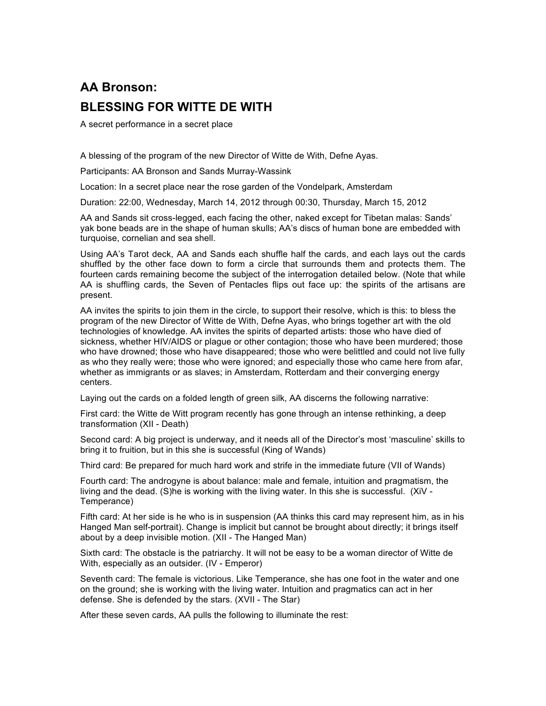## **AA Bronson: BLESSING FOR WITTE DE WITH**

A secret performance in a secret place

A blessing of the program of the new Director of Witte de With, Defne Ayas.

Participants: AA Bronson and Sands Murray-Wassink

Location: In a secret place near the rose garden of the Vondelpark, Amsterdam

Duration: 22:00, Wednesday, March 14, 2012 through 00:30, Thursday, March 15, 2012

AA and Sands sit cross-legged, each facing the other, naked except for Tibetan malas: Sands' yak bone beads are in the shape of human skulls; AA's discs of human bone are embedded with turquoise, cornelian and sea shell.

Using AA's Tarot deck, AA and Sands each shuffle half the cards, and each lays out the cards shuffled by the other face down to form a circle that surrounds them and protects them. The fourteen cards remaining become the subject of the interrogation detailed below. (Note that while AA is shuffling cards, the Seven of Pentacles flips out face up: the spirits of the artisans are present.

AA invites the spirits to join them in the circle, to support their resolve, which is this: to bless the program of the new Director of Witte de With, Defne Ayas, who brings together art with the old technologies of knowledge. AA invites the spirits of departed artists: those who have died of sickness, whether HIV/AIDS or plague or other contagion; those who have been murdered; those who have drowned; those who have disappeared; those who were belittled and could not live fully as who they really were; those who were ignored; and especially those who came here from afar, whether as immigrants or as slaves; in Amsterdam, Rotterdam and their converging energy centers.

Laying out the cards on a folded length of green silk, AA discerns the following narrative:

First card: the Witte de Witt program recently has gone through an intense rethinking, a deep transformation (XII - Death)

Second card: A big project is underway, and it needs all of the Director's most 'masculine' skills to bring it to fruition, but in this she is successful (King of Wands)

Third card: Be prepared for much hard work and strife in the immediate future (VII of Wands)

Fourth card: The androgyne is about balance: male and female, intuition and pragmatism, the living and the dead. (S)he is working with the living water. In this she is successful. (XiV - Temperance)

Fifth card: At her side is he who is in suspension (AA thinks this card may represent him, as in his Hanged Man self-portrait). Change is implicit but cannot be brought about directly; it brings itself about by a deep invisible motion. (XII - The Hanged Man)

Sixth card: The obstacle is the patriarchy. It will not be easy to be a woman director of Witte de With, especially as an outsider. (IV - Emperor)

Seventh card: The female is victorious. Like Temperance, she has one foot in the water and one on the ground; she is working with the living water. Intuition and pragmatics can act in her defense. She is defended by the stars. (XVII - The Star)

After these seven cards, AA pulls the following to illuminate the rest: